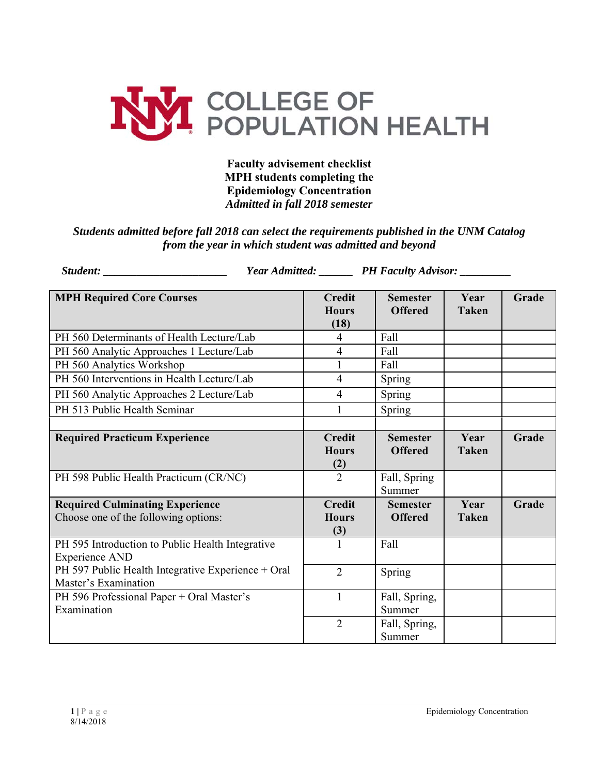

**Faculty advisement checklist MPH students completing the Epidemiology Concentration**  *Admitted in fall 2018 semester* 

## *Students admitted before fall 2018 can select the requirements published in the UNM Catalog from the year in which student was admitted and beyond*

|                                                                                | Year Admitted: _______ PH Faculty Advisor: _______ |                                       |                                   |                      |       |
|--------------------------------------------------------------------------------|----------------------------------------------------|---------------------------------------|-----------------------------------|----------------------|-------|
| <b>MPH Required Core Courses</b>                                               |                                                    | <b>Credit</b><br><b>Hours</b><br>(18) | <b>Semester</b><br><b>Offered</b> | Year<br><b>Taken</b> | Grade |
| PH 560 Determinants of Health Lecture/Lab                                      |                                                    | $\overline{4}$                        | Fall                              |                      |       |
| PH 560 Analytic Approaches 1 Lecture/Lab                                       |                                                    | $\overline{4}$                        | Fall                              |                      |       |
| PH 560 Analytics Workshop                                                      |                                                    | $\mathbf{1}$                          | Fall                              |                      |       |
| PH 560 Interventions in Health Lecture/Lab                                     |                                                    | $\overline{4}$                        | Spring                            |                      |       |
| PH 560 Analytic Approaches 2 Lecture/Lab                                       |                                                    | $\overline{4}$                        | Spring                            |                      |       |
| PH 513 Public Health Seminar                                                   |                                                    | 1                                     | Spring                            |                      |       |
| <b>Required Practicum Experience</b>                                           |                                                    | <b>Credit</b><br><b>Hours</b><br>(2)  | <b>Semester</b><br><b>Offered</b> | Year<br><b>Taken</b> | Grade |
| PH 598 Public Health Practicum (CR/NC)                                         |                                                    | $\overline{2}$                        | Fall, Spring<br>Summer            |                      |       |
| <b>Required Culminating Experience</b><br>Choose one of the following options: |                                                    | <b>Credit</b><br><b>Hours</b><br>(3)  | <b>Semester</b><br><b>Offered</b> | Year<br><b>Taken</b> | Grade |
| PH 595 Introduction to Public Health Integrative<br><b>Experience AND</b>      |                                                    |                                       | Fall                              |                      |       |
| PH 597 Public Health Integrative Experience + Oral<br>Master's Examination     |                                                    | $\overline{2}$                        | Spring                            |                      |       |
| PH 596 Professional Paper + Oral Master's<br>Examination                       |                                                    | $\mathbf{1}$                          | Fall, Spring,<br>Summer           |                      |       |
|                                                                                |                                                    | $\overline{2}$                        | Fall, Spring,<br>Summer           |                      |       |